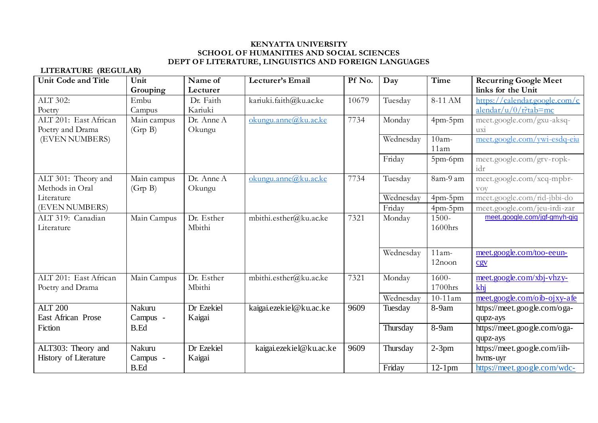**LITERATURE (REGULAR)**

| <b>Unit Code and Title</b> | Unit        | Name of    | Lecturer's Email        | Pf No. | Day       | Time                 | <b>Recurring Google Meet</b>  |
|----------------------------|-------------|------------|-------------------------|--------|-----------|----------------------|-------------------------------|
|                            | Grouping    | Lecturer   |                         |        |           |                      | links for the Unit            |
| ALT 302:                   | Embu        | Dr. Faith  | kariuki.faith@ku.ac.ke  | 10679  | Tuesday   | 8-11 AM              | https://calendar.google.com/c |
| Poetry                     | Campus      | Kariuki    |                         |        |           |                      | $alendar/u/0/r$ ?tab=mc       |
| ALT 201: East African      | Main campus | Dr. Anne A | okungu.anne@ku.ac.ke    | 7734   | Monday    | 4pm-5pm              | meet.google.com/gxu-aksq-     |
| Poetry and Drama           | (Grp B)     | Okungu     |                         |        |           |                      | UX1                           |
| (EVEN NUMBERS)             |             |            |                         |        | Wednesday | $10am -$             | meet.google.com/ywi-esdq-eiu  |
|                            |             |            |                         |        |           | 11am                 |                               |
|                            |             |            |                         |        | Friday    | 5pm-6pm              | meet.google.com/grv-ropk-     |
|                            |             |            |                         |        |           |                      | idr                           |
| ALT 301: Theory and        | Main campus | Dr. Anne A | okungu.anne@ku.ac.ke    | 7734   | Tuesday   | 8am-9 am             | meet.google.com/xcq-mpbr-     |
| Methods in Oral            | (Grp B)     | Okungu     |                         |        |           |                      | <b>VOV</b>                    |
| Literature                 |             |            |                         |        | Wednesday | $4$ pm- $5$ pm       | meet.google.com/rid-jbbi-do   |
| (EVEN NUMBERS)             |             |            |                         |        | Friday    | 4pm-5pm              | meet.google.com/jeu-irdi-zar  |
| ALT 319: Canadian          | Main Campus | Dr. Esther | mbithi.esther@ku.ac.ke  | 7321   | Monday    | 1500-                | meet.google.com/jgf-gmyh-qiq  |
| Literature                 |             | Mbithi     |                         |        |           | 1600hrs              |                               |
|                            |             |            |                         |        |           |                      |                               |
|                            |             |            |                         |        | Wednesday | $11am -$             | meet.google.com/too-eeun-     |
|                            |             |            |                         |        |           | $12$ noon            | CgV                           |
|                            |             |            |                         |        |           |                      |                               |
| ALT 201: East African      | Main Campus | Dr. Esther | mbithi.esther@ku.ac.ke  | 7321   | Monday    | $1600 -$             | meet.google.com/xbj-vhzy-     |
| Poetry and Drama           |             | Mbithi     |                         |        |           | 1700hrs              | khi                           |
|                            |             |            |                         |        | Wednesday | $10-11$ am           | meet.google.com/oib-ojxy-afe  |
| <b>ALT 200</b>             | Nakuru      | Dr Ezekiel | kaigai.ezekiel@ku.ac.ke | 9609   | Tuesday   | 8-9am                | https://meet.google.com/oga-  |
| East African Prose         | Campus -    | Kaigai     |                         |        |           |                      | qupz-ays                      |
| Fiction                    | <b>B.Ed</b> |            |                         |        | Thursday  | 8-9am                | https://meet.google.com/oga-  |
|                            |             |            |                         |        |           |                      | qupz-ays                      |
| ALT303: Theory and         | Nakuru      | Dr Ezekiel | kaigai.ezekiel@ku.ac.ke | 9609   | Thursday  | $2-3pm$              | https://meet.google.com/iih-  |
| History of Literature      | Campus -    | Kaigai     |                         |        |           |                      | hyms-uyr                      |
|                            | <b>B.Ed</b> |            |                         |        | Friday    | $\overline{1}2$ -1pm | https://meet.google.com/wdc-  |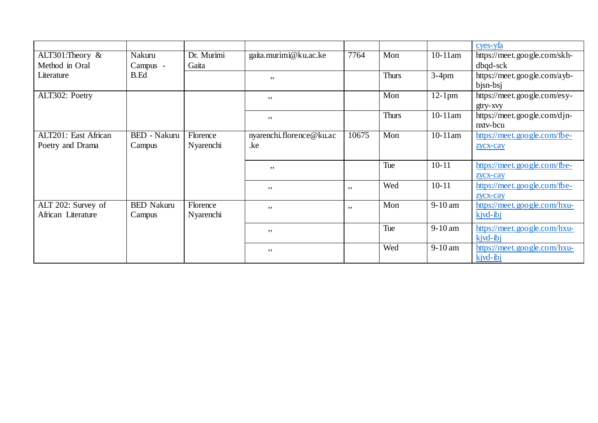|                      |                     |            |                          |       |              |            | cyes-yfa                                 |
|----------------------|---------------------|------------|--------------------------|-------|--------------|------------|------------------------------------------|
| ALT301: Theory $\&$  | Nakuru              | Dr. Murimi | gaita.murimi@ku.ac.ke    | 7764  | Mon          | $10-11$ am | https://meet.google.com/skh-             |
| Method in Oral       | Campus -            | Gaita      |                          |       |              |            | $dbqd-sck$                               |
| Literature           | <b>B.Ed</b>         |            | ,,                       |       | <b>Thurs</b> | $3-4$ pm   | https://meet.google.com/ayb-<br>bjsn-bsj |
| ALT302: Poetry       |                     |            | , ,                      |       | Mon          | $12-1$ pm  | https://meet.google.com/esy-             |
|                      |                     |            |                          |       |              |            | gtry-xvy                                 |
|                      |                     |            | , ,                      |       | <b>Thurs</b> | $10-11$ am | https://meet.google.com/djn-             |
|                      |                     |            |                          |       |              |            | nxtv-bcu                                 |
| ALT201: East African | <b>BED</b> - Nakuru | Florence   | nyarenchi.florence@ku.ac | 10675 | Mon          | $10-11$ am | https://meet.google.com/fbe-             |
| Poetry and Drama     | Campus              | Nyarenchi  | .ke                      |       |              |            | zycx-cay                                 |
|                      |                     |            |                          |       |              |            |                                          |
|                      |                     |            | , ,                      |       | Tue          | $10 - 11$  | https://meet.google.com/fbe-             |
|                      |                     |            |                          |       |              |            | zycx-cay                                 |
|                      |                     |            | , ,                      | ,,    | Wed          | $10 - 11$  | https://meet.google.com/fbe-             |
|                      |                     |            |                          |       |              |            | zycx-cay                                 |
| ALT 202: Survey of   | <b>BED Nakuru</b>   | Florence   | , ,                      | , ,   | Mon          | $9-10$ am  | https://meet.google.com/hxu-             |
| African Literature   | Campus              | Nyarenchi  |                          |       |              |            | kjvd-ibj                                 |
|                      |                     |            | ,,                       |       | Tue          | $9-10$ am  | https://meet.google.com/hxu-             |
|                      |                     |            |                          |       |              |            | $kivd-ibi$                               |
|                      |                     |            | , ,                      |       | Wed          | $9-10$ am  | https://meet.goo.gle.com/hxu-            |
|                      |                     |            |                          |       |              |            | $kjud-bi$                                |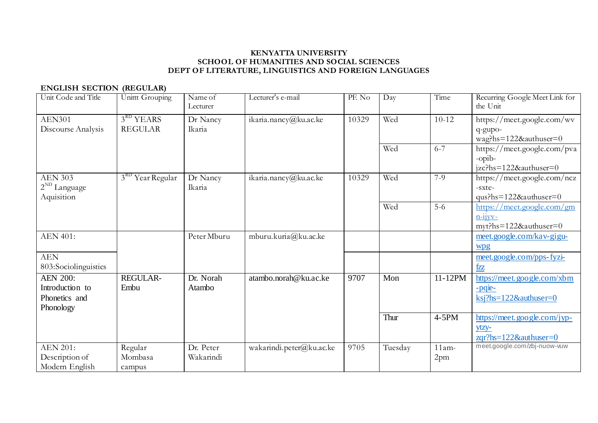# **ENGLISH SECTION (REGULAR)**

| Unit Code and Title                                              | <b>Unittt Grouping</b>        | Name of<br>Lecturer    | Lecturer's e-mail        | PF. No | Day     | Time            | Recurring Google Meet Link for<br>the Unit                                      |
|------------------------------------------------------------------|-------------------------------|------------------------|--------------------------|--------|---------|-----------------|---------------------------------------------------------------------------------|
| <b>AEN301</b><br>Discourse Analysis                              | $3RD$ YEARS<br><b>REGULAR</b> | Dr Nancy<br>Ikaria     | ikaria.nancy@ku.ac.ke    | 10329  | Wed     | $10-12$         | https://meet.google.com/wv<br>q-gupo-<br>wag?hs=122&authuser=0                  |
|                                                                  |                               |                        |                          |        | Wed     | $6 - 7$         | https://meet.google.com/pva<br>-opib-<br>$izc?hs=1228zauthuser=0$               |
| <b>AEN 303</b><br>$2^{ND}$ Language<br>Aquisition                | Year Regular                  | Dr Nancy<br>Ikaria     | ikaria.nancy@ku.ac.ke    | 10329  | Wed     | $7-9$           | https://meet.google.com/ncz<br>-sxte-<br>$qus?hs=122&authuser=0$                |
|                                                                  |                               |                        |                          |        | Wed     | $5-6$           | https://meet.google.com/gm<br>$n-11VV-$<br>myt?hs=122&authuser=0                |
| <b>AEN 401:</b>                                                  |                               | Peter Mburu            | mburu.kuria@ku.ac.ke     |        |         |                 | meet.google.com/kav-gigu-<br>wpg                                                |
| <b>AEN</b><br>803:Sociolinguistics                               |                               |                        |                          |        |         |                 | meet.google.com/pps-fyzi-<br>fzz                                                |
| <b>AEN 200:</b><br>Introduction to<br>Phonetics and<br>Phonology | REGULAR-<br>Embu              | Dr. Norah<br>Atambo    | atambo.norah@ku.ac.ke    | 9707   | Mon     | 11-12PM         | https://meet.google.com/xbm<br>-pqie-<br>$\text{ksj?hs}=122\&\text{authuser}=0$ |
|                                                                  |                               |                        |                          |        | Thur    | $4-5PM$         | https://meet.google.com/jyp-<br>$y$ tzy-<br>$zqr?$ hs=122&authuser=0            |
| <b>AEN 201:</b><br>Description of<br>Modern English              | Regular<br>Mombasa<br>campus  | Dr. Peter<br>Wakarindi | wakarindi.peter@ku.ac.ke | 9705   | Tuesday | $11am -$<br>2pm | meet.google.com/zbj-nuow-vuw                                                    |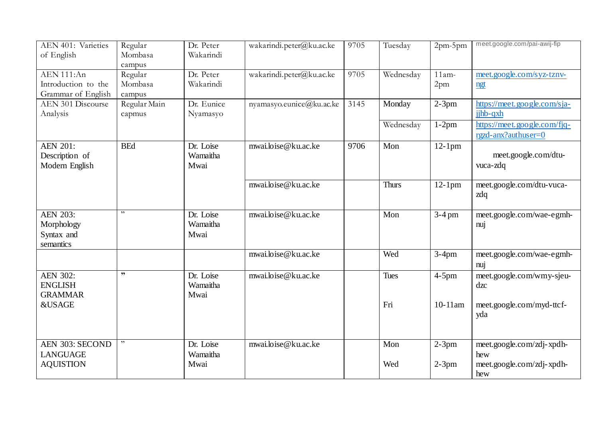| AEN 401: Varieties<br>of English                         | Regular<br>Mombasa<br>campus | Dr. Peter<br>Wakarindi        | wakarindi.peter@ku.ac.ke | 9705 | Tuesday      | 2pm-5pm                     | meet.google.com/pai-awij-fip                        |
|----------------------------------------------------------|------------------------------|-------------------------------|--------------------------|------|--------------|-----------------------------|-----------------------------------------------------|
| AEN 111:An<br>Introduction to the<br>Grammar of English  | Regular<br>Mombasa<br>campus | Dr. Peter<br>Wakarindi        | wakarindi.peter@ku.ac.ke | 9705 | Wednesday    | $11am -$<br>2 <sub>pm</sub> | meet.google.com/syz-tznv-<br>ngt                    |
| AEN 301 Discourse<br>Analysis                            | Regular Main<br>capmus       | Dr. Eunice<br>Nyamasyo        | nyamasyo.eunice@ku.ac.ke | 3145 | Monday       | $2-3pm$                     | https://meet.google.com/sja-<br>jihb-qxh            |
|                                                          |                              |                               |                          |      | Wednesday    | $1-2pm$                     | https://meet.google.com/fjq-<br>rgzd-anx?authuser=0 |
| <b>AEN 201:</b><br>Description of<br>Modern English      | <b>BEd</b>                   | Dr. Loise<br>Wamaitha<br>Mwai | mwai.loise@ku.ac.ke      | 9706 | Mon          | $12-1$ pm                   | meet.google.com/dtu-<br>vuca-zdq                    |
|                                                          |                              |                               | mwai.loise@ku.ac.ke      |      | <b>Thurs</b> | $12-1$ pm                   | meet.google.com/dtu-vuca-<br>zdq                    |
| <b>AEN 203:</b><br>Morphology<br>Syntax and<br>semantics | , 2                          | Dr. Loise<br>Wamaitha<br>Mwai | mwai.loise@ku.ac.ke      |      | Mon          | $3-4$ pm                    | meet.google.com/wae-egmh-<br>nuj                    |
|                                                          |                              |                               | mwai.loise@ku.ac.ke      |      | Wed          | $3-4$ pm                    | meet.google.com/wae-egmh-<br>nuj                    |
| <b>AEN 302:</b><br><b>ENGLISH</b><br><b>GRAMMAR</b>      | , 2                          | Dr. Loise<br>Wamaitha<br>Mwai | mwai.loise@ku.ac.ke      |      | Tues         | $4-5$ pm                    | meet.google.com/wmy-sjeu-<br>$d$ <i>zc</i>          |
| <b>&amp;USAGE</b>                                        |                              |                               |                          |      | Fri          | 10-11am                     | meet.google.com/myd-ttcf-<br>yda                    |
| AEN 303: SECOND<br><b>LANGUAGE</b><br><b>AQUISTION</b>   |                              | Dr. Loise<br>Wamaitha<br>Mwai | mwai.loise@ku.ac.ke      |      | Mon<br>Wed   | $2-3pm$                     | meet.google.com/zdj-xpdh-<br>hew                    |
|                                                          |                              |                               |                          |      |              | $2-3pm$                     | meet.google.com/zdj-xpdh-<br>hew                    |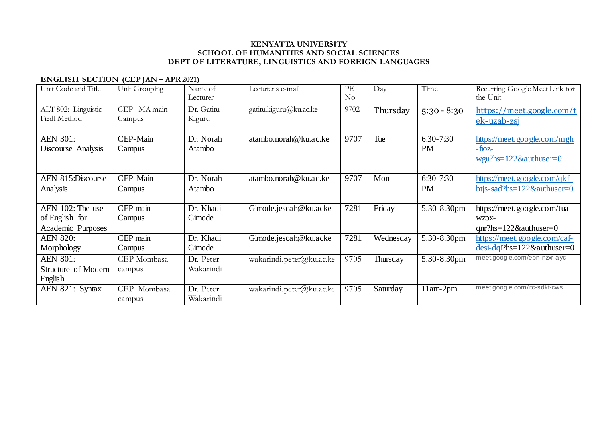## **ENGLISH SECTION (CEP JAN – APR 2021)**

| Unit Code and Title                                     | Unit Grouping         | Name of<br>Lecturer    | Lecturer's e-mail        | PF.<br>N <sub>o</sub> | Day       | Time                   | Recurring Google Meet Link for<br>the Unit                              |
|---------------------------------------------------------|-----------------------|------------------------|--------------------------|-----------------------|-----------|------------------------|-------------------------------------------------------------------------|
| ALT 802: Linguistic<br><b>Fiedl Method</b>              | CEP-MA main<br>Campus | Dr. Gatitu<br>Kiguru   | gatitu.kiguru@ku.ac.ke   | 9702                  | Thursday  | $5:30 - 8:30$          | https://meet.google.com/t<br>ek-uzab-zsi                                |
| <b>AEN 301:</b><br>Discourse Analysis                   | CEP-Main<br>Campus    | Dr. Norah<br>Atambo    | atambo.norah@ku.ac.ke    | 9707                  | Tue       | 6:30-7:30<br><b>PM</b> | https://meet.google.com/mgh<br>$-fioz$<br>$wgu?hs=122&\alpha uthuser=0$ |
| AEN 815:Discourse<br>Analysis                           | CEP-Main<br>Campus    | Dr. Norah<br>Atambo    | atambo.norah@ku.ac.ke    | 9707                  | Mon       | 6:30-7:30<br><b>PM</b> | https://meet.google.com/qkf-<br>btjs-sad?hs= $122$ &authuser=0          |
| AEN 102: The use<br>of English for<br>Academic Purposes | CEP main<br>Campus    | Dr. Khadi<br>Gimode    | Gimode.jescah@ku.acke    | 7281                  | Friday    | 5.30-8.30pm            | https://meet.google.com/tua-<br>WZpX-<br>$qnr?$ hs=122&authuser=0       |
| <b>AEN 820:</b><br>Morphology                           | CEP main<br>Campus    | Dr. Khadi<br>Gimode    | Gimode.jescah@ku.acke    | 7281                  | Wednesday | 5.30-8.30pm            | https://meet.google.com/caf-<br>$desi-dqi?hs=122&\alphauthuser=0$       |
| <b>AEN 801:</b><br>Structure of Modern<br>English       | CEP Mombasa<br>campus | Dr. Peter<br>Wakarindi | wakarindi.peter@ku.ac.ke | 9705                  | Thursday  | 5.30-8.30pm            | meet.google.com/epn-nzxr-ayc                                            |
| AEN 821: Syntax                                         | CEP Mombasa<br>campus | Dr. Peter<br>Wakarindi | wakarindi.peter@ku.ac.ke | 9705                  | Saturday  | $11am-2pm$             | meet.google.com/itc-sdkt-cws                                            |